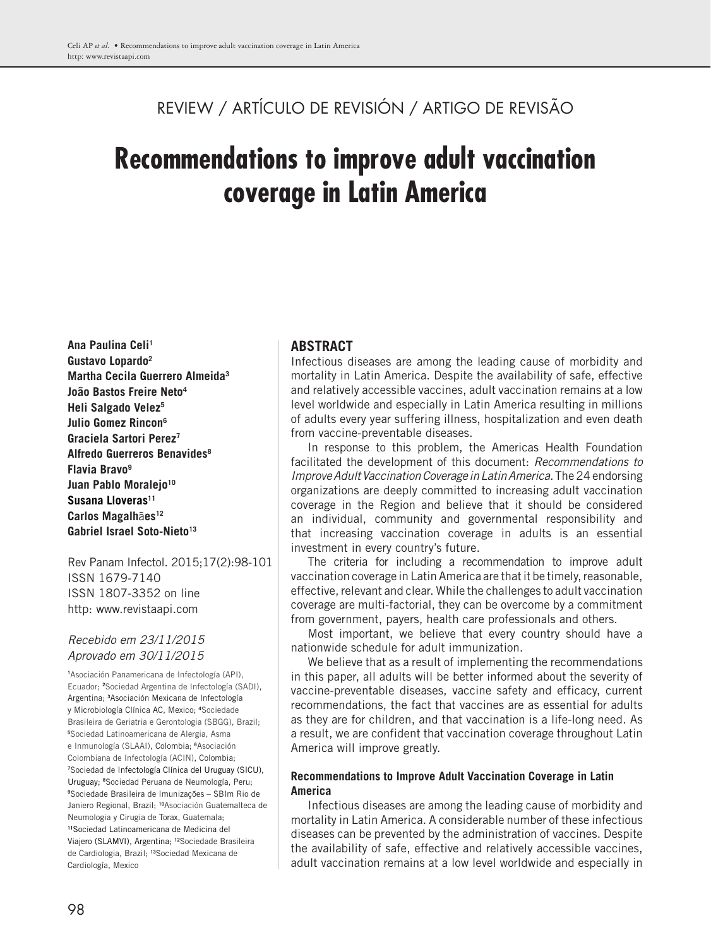# REVIEW / ARTÍCULO DE REVISIÓN / ARTIGO DE REVISÃO

# **Recommendations to improve adult vaccination coverage in Latin America**

**Ana Paulina Celi1 Gustavo Lopardo2 Martha Cecila Guerrero Almeida<sup>3</sup> João Bastos Freire Neto4 Heli Salgado Velez5 Julio Gomez Rincon6 Graciela Sartori Perez7 Alfredo Guerreros Benavides8 Flavia Bravo9** Juan Pablo Moralejo<sup>10</sup> Susana Lloveras<sup>11</sup> **Carlos Magalh**ã**es12** Gabriel Israel Soto-Nieto<sup>13</sup>

Rev Panam Infectol. 2015;17(2):98-101 ISSN 1679-7140 ISSN 1807-3352 on line http: www.revistaapi.com

## *Recebido em 23/11/2015 Aprovado em 30/11/2015*

**1** Asociación Panamericana de Infectología (API), Ecuador; **<sup>2</sup>** Sociedad Argentina de Infectología (SADI), Argentina; **<sup>3</sup>** Asociación Mexicana de Infectología y Microbiología Clínica AC, Mexico; **<sup>4</sup>** Sociedade Brasileira de Geriatria e Gerontologia (SBGG), Brazil; **5** Sociedad Latinoamericana de Alergia, Asma e Inmunología (SLAAI), Colombia; **<sup>6</sup>** Asociación Colombiana de Infectología (ACIN), Colombia; **7** Sociedad de Infectología Clínica del Uruguay (SICU), Uruguay; **<sup>8</sup>** Sociedad Peruana de Neumología, Peru; **9** Sociedade Brasileira de Imunizações – SBIm Rio de Janiero Regional, Brazil; **10**Asociación Guatemalteca de Neumologia y Cirugia de Torax, Guatemala; **<sup>11</sup>**Sociedad Latinoamericana de Medicina del Viajero (SLAMVI), Argentina; **12**Sociedade Brasileira de Cardiologia, Brazil; **13**Sociedad Mexicana de Cardiología, Mexico

# **ABSTRACT**

Infectious diseases are among the leading cause of morbidity and mortality in Latin America. Despite the availability of safe, effective and relatively accessible vaccines, adult vaccination remains at a low level worldwide and especially in Latin America resulting in millions of adults every year suffering illness, hospitalization and even death from vaccine-preventable diseases.

In response to this problem, the Americas Health Foundation facilitated the development of this document: *Recommendations to Improve Adult Vaccination Coverage in Latin America.*The24endorsing organizations are deeply committed to increasing adult vaccination coverage in the Region and believe that it should be considered an individual, community and governmental responsibility and that increasing vaccination coverage in adults is an essential investment in every country's future.

The criteria for including a recommendation to improve adult vaccination coverage in Latin America are that it be timely, reasonable, effective, relevant and clear. While the challenges to adult vaccination coverage are multi-factorial, they can be overcome by a commitment from government, payers, health care professionals and others.

Most important, we believe that every country should have a nationwide schedule for adult immunization.

We believe that as a result of implementing the recommendations in this paper, all adults will be better informed about the severity of vaccine-preventable diseases, vaccine safety and efficacy, current recommendations, the fact that vaccines are as essential for adults as they are for children, and that vaccination is a life-long need. As a result, we are confident that vaccination coverage throughout Latin America will improve greatly.

#### **Recommendations to Improve Adult Vaccination Coverage in Latin America**

Infectious diseases are among the leading cause of morbidity and mortality in Latin America. A considerable number of these infectious diseases can be prevented by the administration of vaccines. Despite the availability of safe, effective and relatively accessible vaccines, adult vaccination remains at a low level worldwide and especially in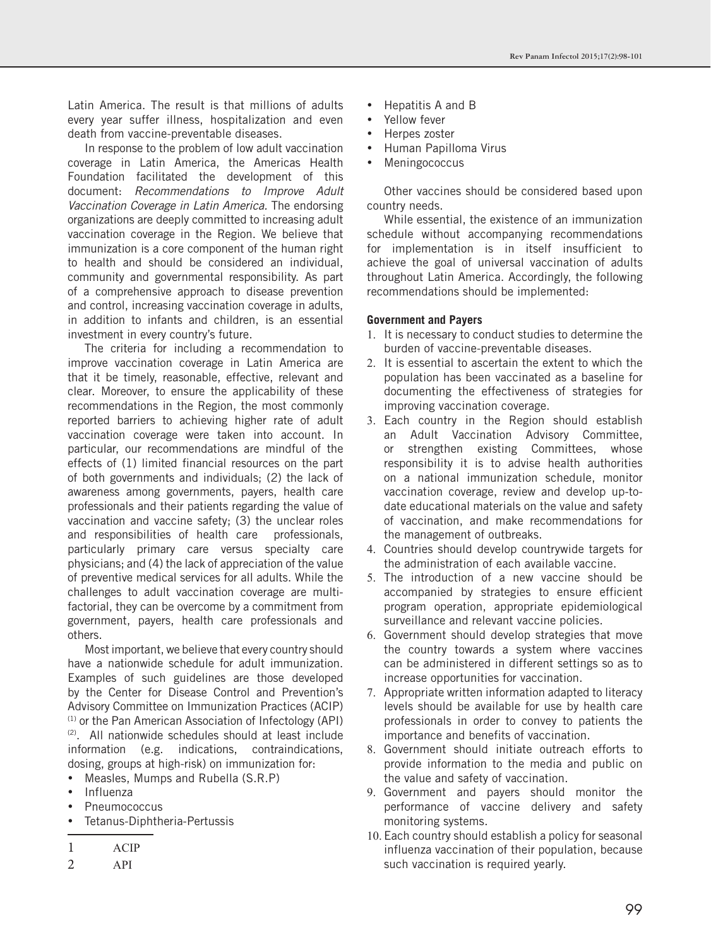Latin America. The result is that millions of adults every year suffer illness, hospitalization and even death from vaccine-preventable diseases.

In response to the problem of low adult vaccination coverage in Latin America, the Americas Health Foundation facilitated the development of this document: *Recommendations to Improve Adult Vaccination Coverage in Latin America.* The endorsing organizations are deeply committed to increasing adult vaccination coverage in the Region. We believe that immunization is a core component of the human right to health and should be considered an individual, community and governmental responsibility. As part of a comprehensive approach to disease prevention and control, increasing vaccination coverage in adults, in addition to infants and children, is an essential investment in every country's future.

The criteria for including a recommendation to improve vaccination coverage in Latin America are that it be timely, reasonable, effective, relevant and clear. Moreover, to ensure the applicability of these recommendations in the Region, the most commonly reported barriers to achieving higher rate of adult vaccination coverage were taken into account. In particular, our recommendations are mindful of the effects of (1) limited financial resources on the part of both governments and individuals; (2) the lack of awareness among governments, payers, health care professionals and their patients regarding the value of vaccination and vaccine safety; (3) the unclear roles and responsibilities of health care professionals, particularly primary care versus specialty care physicians; and (4) the lack of appreciation of the value of preventive medical services for all adults. While the challenges to adult vaccination coverage are multifactorial, they can be overcome by a commitment from government, payers, health care professionals and others.

Most important, we believe that every country should have a nationwide schedule for adult immunization. Examples of such guidelines are those developed by the Center for Disease Control and Prevention's Advisory Committee on Immunization Practices (ACIP) (1) or the Pan American Association of Infectology (API) (2) . All nationwide schedules should at least include information (e.g. indications, contraindications, dosing, groups at high-risk) on immunization for:

- • Measles, Mumps and Rubella (S.R.P)
- **Influenza**
- **Pneumococcus**
- Tetanus-Diphtheria-Pertussis

2 API

- Hepatitis A and B
- Yellow fever
- Herpes zoster
- • Human Papilloma Virus
- **Meningococcus**

Other vaccines should be considered based upon country needs.

While essential, the existence of an immunization schedule without accompanying recommendations for implementation is in itself insufficient to achieve the goal of universal vaccination of adults throughout Latin America. Accordingly, the following recommendations should be implemented:

#### **Government and Payers**

- 1. It is necessary to conduct studies to determine the burden of vaccine-preventable diseases.
- 2. It is essential to ascertain the extent to which the population has been vaccinated as a baseline for documenting the effectiveness of strategies for improving vaccination coverage.
- 3. Each country in the Region should establish an Adult Vaccination Advisory Committee, or strengthen existing Committees, whose responsibility it is to advise health authorities on a national immunization schedule, monitor vaccination coverage, review and develop up-todate educational materials on the value and safety of vaccination, and make recommendations for the management of outbreaks.
- 4. Countries should develop countrywide targets for the administration of each available vaccine.
- 5. The introduction of a new vaccine should be accompanied by strategies to ensure efficient program operation, appropriate epidemiological surveillance and relevant vaccine policies.
- 6. Government should develop strategies that move the country towards a system where vaccines can be administered in different settings so as to increase opportunities for vaccination.
- 7. Appropriate written information adapted to literacy levels should be available for use by health care professionals in order to convey to patients the importance and benefits of vaccination.
- 8. Government should initiate outreach efforts to provide information to the media and public on the value and safety of vaccination.
- 9. Government and payers should monitor the performance of vaccine delivery and safety monitoring systems.
- 10. Each country should establish a policy for seasonal influenza vaccination of their population, because such vaccination is required yearly.

<sup>1</sup> ACIP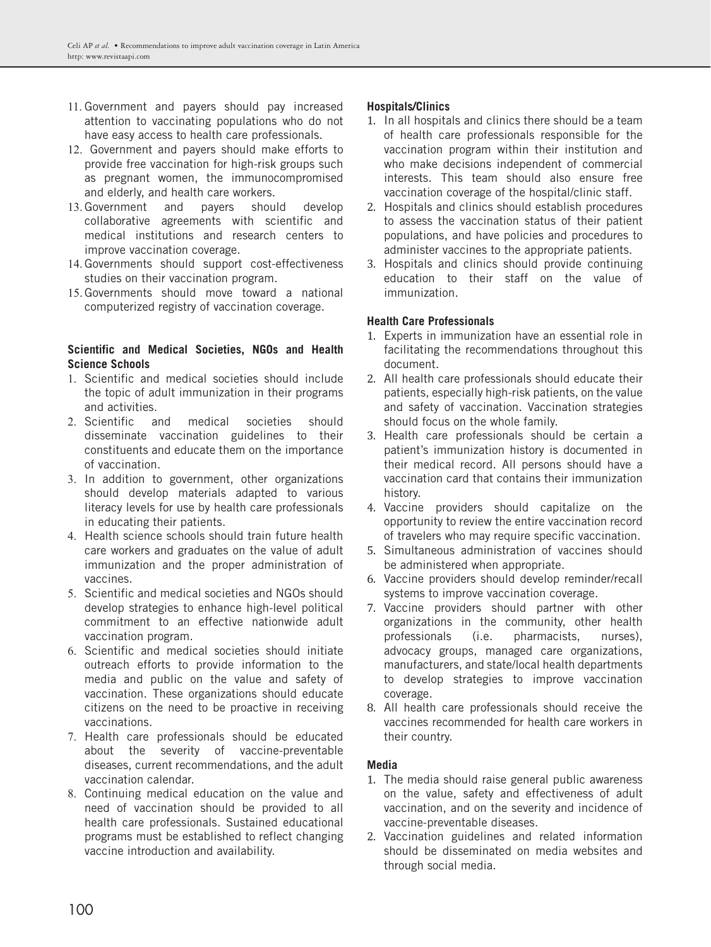- 11. Government and payers should pay increased attention to vaccinating populations who do not have easy access to health care professionals.
- 12. Government and payers should make efforts to provide free vaccination for high-risk groups such as pregnant women, the immunocompromised and elderly, and health care workers.
- 13. Government and payers should develop collaborative agreements with scientific and medical institutions and research centers to improve vaccination coverage.
- 14. Governments should support cost-effectiveness studies on their vaccination program.
- 15. Governments should move toward a national computerized registry of vaccination coverage.

#### **Scientific and Medical Societies, NGOs and Health Science Schools**

- 1. Scientific and medical societies should include the topic of adult immunization in their programs and activities.
- 2. Scientific and medical societies should disseminate vaccination guidelines to their constituents and educate them on the importance of vaccination.
- 3. In addition to government, other organizations should develop materials adapted to various literacy levels for use by health care professionals in educating their patients.
- 4. Health science schools should train future health care workers and graduates on the value of adult immunization and the proper administration of vaccines.
- 5. Scientific and medical societies and NGOs should develop strategies to enhance high-level political commitment to an effective nationwide adult vaccination program.
- 6. Scientific and medical societies should initiate outreach efforts to provide information to the media and public on the value and safety of vaccination. These organizations should educate citizens on the need to be proactive in receiving vaccinations.
- 7. Health care professionals should be educated about the severity of vaccine-preventable diseases, current recommendations, and the adult vaccination calendar.
- 8. Continuing medical education on the value and need of vaccination should be provided to all health care professionals. Sustained educational programs must be established to reflect changing vaccine introduction and availability.

# **Hospitals/Clinics**

- 1. In all hospitals and clinics there should be a team of health care professionals responsible for the vaccination program within their institution and who make decisions independent of commercial interests. This team should also ensure free vaccination coverage of the hospital/clinic staff.
- 2. Hospitals and clinics should establish procedures to assess the vaccination status of their patient populations, and have policies and procedures to administer vaccines to the appropriate patients.
- 3. Hospitals and clinics should provide continuing education to their staff on the value of immunization.

## **Health Care Professionals**

- 1. Experts in immunization have an essential role in facilitating the recommendations throughout this document.
- 2. All health care professionals should educate their patients, especially high-risk patients, on the value and safety of vaccination. Vaccination strategies should focus on the whole family.
- 3. Health care professionals should be certain a patient's immunization history is documented in their medical record. All persons should have a vaccination card that contains their immunization history.
- 4. Vaccine providers should capitalize on the opportunity to review the entire vaccination record of travelers who may require specific vaccination.
- 5. Simultaneous administration of vaccines should be administered when appropriate.
- 6. Vaccine providers should develop reminder/recall systems to improve vaccination coverage.
- 7. Vaccine providers should partner with other organizations in the community, other health professionals (i.e. pharmacists, nurses), advocacy groups, managed care organizations, manufacturers, and state/local health departments to develop strategies to improve vaccination coverage.
- 8. All health care professionals should receive the vaccines recommended for health care workers in their country.

#### **Media**

- 1. The media should raise general public awareness on the value, safety and effectiveness of adult vaccination, and on the severity and incidence of vaccine-preventable diseases.
- 2. Vaccination guidelines and related information should be disseminated on media websites and through social media.